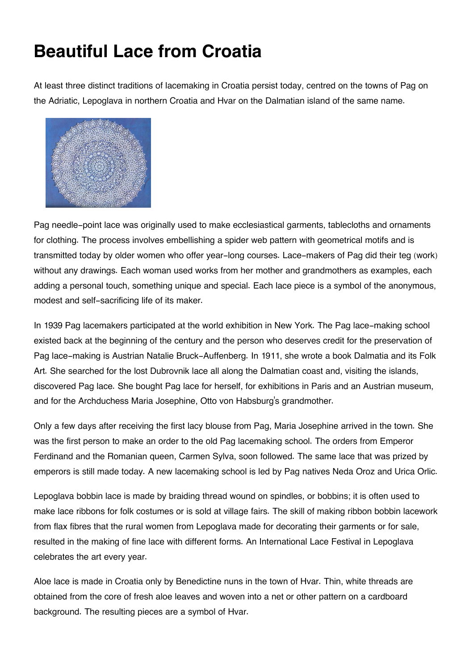## **Beautiful Lace from Croatia**

At least three distinct traditions of lacemaking in Croatia persist today, centred on the towns of Pag on the Adriatic, Lepoglava in northern Croatia and Hvar on the Dalmatian island of the same name.



Pag needle-point lace was originally used to make ecclesiastical garments, tablecloths and ornaments for clothing. The process involves embellishing a spider web pattern with geometrical motifs and is transmitted today by older women who offer year-long courses. Lace-makers of Pag did their teg (work) without any drawings. Each woman used works from her mother and grandmothers as examples, each adding a personal touch, something unique and special. Each lace piece is a symbol of the anonymous, modest and self-sacrificing life of its maker.

In 1939 Pag lacemakers participated at the world exhibition in New York. The Pag lace-making school existed back at the beginning of the century and the person who deserves credit for the preservation of Pag lace-making is Austrian Natalie Bruck-Auffenberg. In 1911, she wrote a book Dalmatia and its Folk Art. She searched for the lost Dubrovnik lace all along the Dalmatian coast and, visiting the islands, discovered Pag lace. She bought Pag lace for herself, for exhibitions in Paris and an Austrian museum, and for the Archduchess Maria Josephine, Otto von Habsburg's grandmother.

Only a few days after receiving the first lacy blouse from Pag, Maria Josephine arrived in the town. She was the first person to make an order to the old Pag lacemaking school. The orders from Emperor Ferdinand and the Romanian queen, Carmen Sylva, soon followed. The same lace that was prized by emperors is still made today. A new lacemaking school is led by Pag natives Neda Oroz and Urica Orlic.

Lepoglava bobbin lace is made by braiding thread wound on spindles, or bobbins; it is often used to make lace ribbons for folk costumes or is sold at village fairs. The skill of making ribbon bobbin lacework from flax fibres that the rural women from Lepoglava made for decorating their garments or for sale, resulted in the making of fine lace with different forms. An International Lace Festival in Lepoglava celebrates the art every year.

Aloe lace is made in Croatia only by Benedictine nuns in the town of Hvar. Thin, white threads are obtained from the core of fresh aloe leaves and woven into a net or other pattern on a cardboard background. The resulting pieces are a symbol of Hvar.